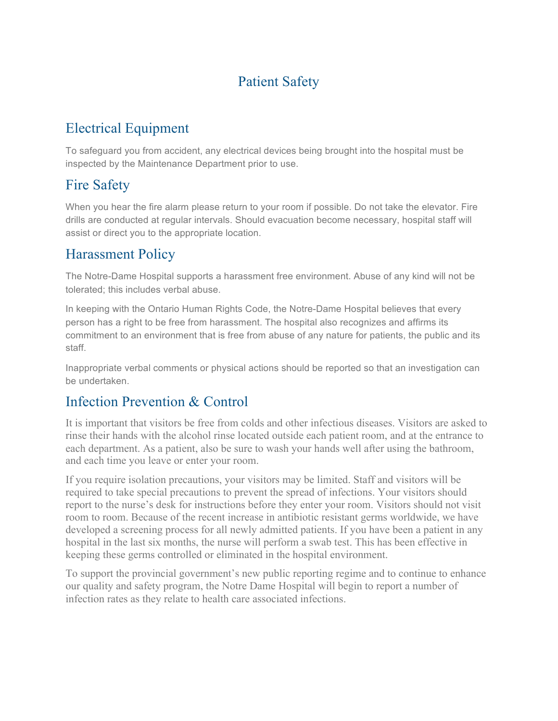## Patient Safety

# Electrical Equipment

To safeguard you from accident, any electrical devices being brought into the hospital must be inspected by the Maintenance Department prior to use.

### Fire Safety

When you hear the fire alarm please return to your room if possible. Do not take the elevator. Fire drills are conducted at regular intervals. Should evacuation become necessary, hospital staff will assist or direct you to the appropriate location.

#### Harassment Policy

The Notre-Dame Hospital supports a harassment free environment. Abuse of any kind will not be tolerated; this includes verbal abuse.

In keeping with the Ontario Human Rights Code, the Notre-Dame Hospital believes that every person has a right to be free from harassment. The hospital also recognizes and affirms its commitment to an environment that is free from abuse of any nature for patients, the public and its staff.

Inappropriate verbal comments or physical actions should be reported so that an investigation can be undertaken.

#### Infection Prevention & Control

It is important that visitors be free from colds and other infectious diseases. Visitors are asked to rinse their hands with the alcohol rinse located outside each patient room, and at the entrance to each department. As a patient, also be sure to wash your hands well after using the bathroom, and each time you leave or enter your room.

If you require isolation precautions, your visitors may be limited. Staff and visitors will be required to take special precautions to prevent the spread of infections. Your visitors should report to the nurse's desk for instructions before they enter your room. Visitors should not visit room to room. Because of the recent increase in antibiotic resistant germs worldwide, we have developed a screening process for all newly admitted patients. If you have been a patient in any hospital in the last six months, the nurse will perform a swab test. This has been effective in keeping these germs controlled or eliminated in the hospital environment.

To support the provincial government's new public reporting regime and to continue to enhance our quality and safety program, the Notre Dame Hospital will begin to report a number of infection rates as they relate to health care associated infections.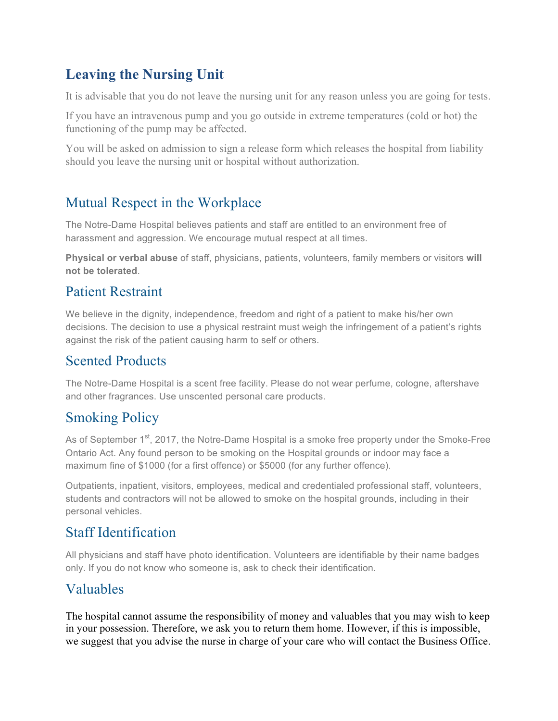# **Leaving the Nursing Unit**

It is advisable that you do not leave the nursing unit for any reason unless you are going for tests.

If you have an intravenous pump and you go outside in extreme temperatures (cold or hot) the functioning of the pump may be affected.

You will be asked on admission to sign a release form which releases the hospital from liability should you leave the nursing unit or hospital without authorization.

## Mutual Respect in the Workplace

The Notre-Dame Hospital believes patients and staff are entitled to an environment free of harassment and aggression. We encourage mutual respect at all times.

**Physical or verbal abuse** of staff, physicians, patients, volunteers, family members or visitors **will not be tolerated**.

#### Patient Restraint

We believe in the dignity, independence, freedom and right of a patient to make his/her own decisions. The decision to use a physical restraint must weigh the infringement of a patient's rights against the risk of the patient causing harm to self or others.

### Scented Products

The Notre-Dame Hospital is a scent free facility. Please do not wear perfume, cologne, aftershave and other fragrances. Use unscented personal care products.

# Smoking Policy

As of September  $1<sup>st</sup>$ , 2017, the Notre-Dame Hospital is a smoke free property under the Smoke-Free Ontario Act. Any found person to be smoking on the Hospital grounds or indoor may face a maximum fine of \$1000 (for a first offence) or \$5000 (for any further offence).

Outpatients, inpatient, visitors, employees, medical and credentialed professional staff, volunteers, students and contractors will not be allowed to smoke on the hospital grounds, including in their personal vehicles.

## Staff Identification

All physicians and staff have photo identification. Volunteers are identifiable by their name badges only. If you do not know who someone is, ask to check their identification.

#### Valuables

The hospital cannot assume the responsibility of money and valuables that you may wish to keep in your possession. Therefore, we ask you to return them home. However, if this is impossible, we suggest that you advise the nurse in charge of your care who will contact the Business Office.